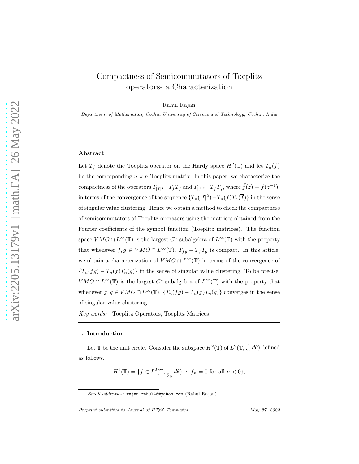# Compactness of Semicommutators of Toeplitz operators- a Characterization

Rahul Rajan

Department of Mathematics, Cochin University of Science and Technology, Cochin, India

## Abstract

Let  $T_f$  denote the Toeplitz operator on the Hardy space  $H^2(\mathbb{T})$  and let  $T_n(f)$ be the corresponding  $n \times n$  Toeplitz matrix. In this paper, we characterize the compactness of the operators  $T_{|f|^2} - T_f T_{\overline{f}}$  and  $T_{|\tilde{f}|^2} - T_{\tilde{f}} T_{\overline{f}}$ , where  $\tilde{f}(z) = f(z^{-1}),$ in terms of the convergence of the sequence  $\{T_n(|f|^2) - T_n(f)T_n(\overline{f})\}$  in the sense of singular value clustering. Hence we obtain a method to check the compactness of semicommutators of Toeplitz operators using the matrices obtained from the Fourier coefficients of the symbol function (Toeplitz matrices). The function space  $VMO \cap L^{\infty}(\mathbb{T})$  is the largest  $C^*$ -subalgebra of  $L^{\infty}(\mathbb{T})$  with the property that whenever  $f, g \in VMO \cap L^{\infty}(\mathbb{T})$ ,  $T_{fg} - T_fT_g$  is compact. In this article, we obtain a characterization of  $VMO \cap L^{\infty}(\mathbb{T})$  in terms of the convergence of  ${T_n(fg) - T_n(f)T_n(g)}$  in the sense of singular value clustering. To be precise,  $VMO \cap L^{\infty}(\mathbb{T})$  is the largest C<sup>\*</sup>-subalgebra of  $L^{\infty}(\mathbb{T})$  with the property that whenever  $f, g \in VMO \cap L^{\infty}(\mathbb{T})$ ,  $\{T_n(fg) - T_n(f)T_n(g)\}$  converges in the sense of singular value clustering.

*Key words:* Toeplitz Operators, Toeplitz Matrices

### 1. Introduction

Let T be the unit circle. Consider the subspace  $H^2(\mathbb{T})$  of  $L^2(\mathbb{T}, \frac{1}{2\pi}d\theta)$  defined as follows.

$$
H^{2}(\mathbb{T}) = \{ f \in L^{2}(\mathbb{T}, \frac{1}{2\pi} d\theta) : f_{n} = 0 \text{ for all } n < 0 \},
$$

Preprint submitted to Journal of  $\cancel{B}$ TeX Templates May 27, 2022

Email addresses: rajan.rahul48@yahoo.com (Rahul Rajan)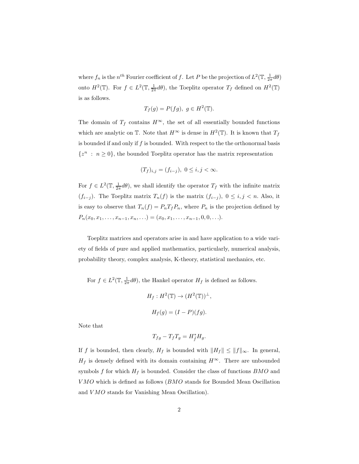where  $f_n$  is the  $n^{th}$  Fourier coefficient of f. Let P be the projection of  $L^2(\mathbb{T}, \frac{1}{2\pi}d\theta)$ onto  $H^2(\mathbb{T})$ . For  $f \in L^2(\mathbb{T}, \frac{1}{2\pi}d\theta)$ , the Toeplitz operator  $T_f$  defined on  $H^2(\mathbb{T})$ is as follows.

$$
T_f(g) = P(fg), \ g \in H^2(\mathbb{T}).
$$

The domain of  $T_f$  contains  $H^{\infty}$ , the set of all essentially bounded functions which are analytic on  $\mathbb T$ . Note that  $H^{\infty}$  is dense in  $H^2(\mathbb T)$ . It is known that  $T_f$ is bounded if and only if  $f$  is bounded. With respect to the the orthonormal basis  $\{z^n\ :\ n\ge 0\},$  the bounded Toeplitz operator has the matrix representation

$$
(T_f)_{i,j} = (f_{i-j}), \ 0 \le i, j < \infty.
$$

For  $f \in L^2(\mathbb{T}, \frac{1}{2\pi}d\theta)$ , we shall identify the operator  $T_f$  with the infinite matrix  $(f_{i-j})$ . The Toeplitz matrix  $T_n(f)$  is the matrix  $(f_{i-j}), 0 \leq i, j < n$ . Also, it is easy to observe that  $T_n(f) = P_n T_f P_n$ , where  $P_n$  is the projection defined by  $P_n(x_0, x_1, \ldots, x_{n-1}, x_n, \ldots) = (x_0, x_1, \ldots, x_{n-1}, 0, 0, \ldots).$ 

Toeplitz matrices and operators arise in and have application to a wide variety of fields of pure and applied mathematics, particularly, numerical analysis, probability theory, complex analysis, K-theory, statistical mechanics, etc.

For  $f \in L^2(\mathbb{T}, \frac{1}{2\pi}d\theta)$ , the Hankel operator  $H_f$  is defined as follows.

$$
H_f: H^2(\mathbb{T}) \to (H^2(\mathbb{T}))^{\perp},
$$
  

$$
H_f(g) = (I - P)(fg).
$$

Note that

$$
T_{fg} - T_f T_g = H^*_{\bar{f}} H_g.
$$

If f is bounded, then clearly,  $H_f$  is bounded with  $||H_f|| \le ||f||_{\infty}$ . In general,  $H_f$  is densely defined with its domain containing  $H^{\infty}$ . There are unbounded symbols f for which  $H_f$  is bounded. Consider the class of functions  $BMO$  and V MO which is defined as follows (BMO stands for Bounded Mean Oscillation and *VMO* stands for Vanishing Mean Oscillation).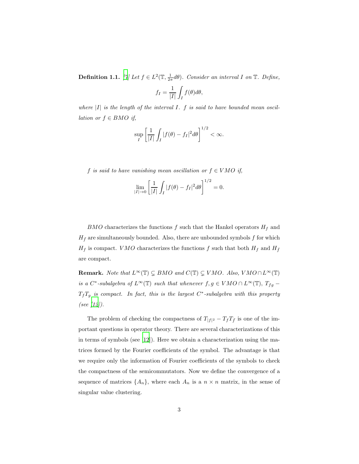**Definition 1.1.** [\[7](#page-11-0)] Let  $f \in L^2(\mathbb{T}, \frac{1}{2\pi}d\theta)$ *. Consider an interval* I on  $\mathbb{T}$ *. Define,* 

$$
f_I = \frac{1}{|I|} \int_I f(\theta) d\theta,
$$

*where* |I| *is the length of the interval* I*.* f *is said to have bounded mean oscillation or*  $f \in BMO$  *if,* 

$$
\sup_{I} \left[ \frac{1}{|I|} \int_{I} |f(\theta) - f_I|^2 d\theta \right]^{1/2} < \infty.
$$

f *is said to have vanishing mean oscillation or*  $f \in VMO$  *if,* 

$$
\lim_{|I| \to 0} \left[ \frac{1}{|I|} \int_I |f(\theta) - f_I|^2 d\theta \right]^{1/2} = 0.
$$

 $BMO$  characterizes the functions f such that the Hankel operators  $H_f$  and  $H_{\bar{f}}$  are simultaneously bounded. Also, there are unbounded symbols f for which  $H_f$  is compact. VMO characterizes the functions f such that both  $H_f$  and  $H_{\bar{f}}$ are compact.

**Remark.** *Note that*  $L^{\infty}(\mathbb{T}) \subsetneq BMO$  *and*  $C(\mathbb{T}) \subsetneq VMO$ *. Also,*  $VMO \cap L^{\infty}(\mathbb{T})$ *is a*  $C^*$ -subalgebra of  $L^{\infty}(\mathbb{T})$  *such that whenever*  $f, g \in VMO \cap L^{\infty}(\mathbb{T})$ ,  $T_{fg}$  – TfT<sup>g</sup> *is compact. In fact, this is the largest* C ∗ *-subalgebra with this property (see [\[12](#page-11-1)]).*

The problem of checking the compactness of  $T_{|f|^2} - T_f T_{\bar{f}}$  is one of the important questions in operator theory. There are several characterizations of this in terms of symbols (see [\[12\]](#page-11-1)). Here we obtain a characterization using the matrices formed by the Fourier coefficients of the symbol. The advantage is that we require only the information of Fourier coefficients of the symbols to check the compactness of the semicommutators. Now we define the convergence of a sequence of matrices  $\{A_n\}$ , where each  $A_n$  is a  $n \times n$  matrix, in the sense of singular value clustering.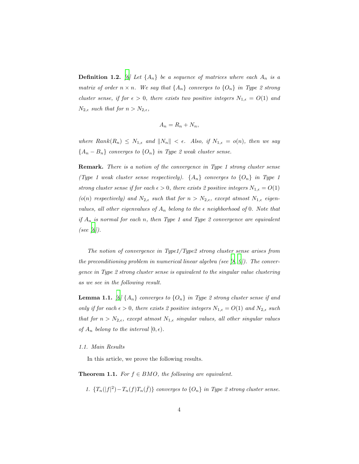**Definition 1.2.** [\[6\]](#page-11-2) Let  $\{A_n\}$  be a sequence of matrices where each  $A_n$  is a *matrix of order*  $n \times n$ *. We say that*  $\{A_n\}$  *converges to*  $\{O_n\}$  *in Type 2 strong cluster sense, if for*  $\epsilon > 0$ *, there exists two positive integers*  $N_{1,\epsilon} = O(1)$  *and*  $N_{2,\epsilon}$  *such that for*  $n > N_{2,\epsilon}$ *,* 

$$
A_n = R_n + N_n,
$$

*where*  $Rank(R_n) \le N_{1,\epsilon}$  and  $\|N_n\| < \epsilon$ . Also, if  $N_{1,\epsilon} = o(n)$ , then we say  ${A_n - B_n}$  *converges to*  ${O_n}$  *in Type 2 weak cluster sense.* 

Remark. *There is a notion of the convergence in Type 1 strong cluster sense (Type 1 weak cluster sense respectively).*  $\{A_n\}$  *converges to*  $\{O_n\}$  *in Type 1 strong cluster sense if for each*  $\epsilon > 0$ *, there exists 2 positive integers*  $N_{1,\epsilon} = O(1)$ (o(n) *respectively)* and  $N_{2,\epsilon}$  *such that for*  $n > N_{2,\epsilon}$ *, except atmost*  $N_{1,\epsilon}$  *eigenvalues, all other eigenvalues of*  $A_n$  *belong to the*  $\epsilon$  *neighborhood of* 0*. Note that if* A<sup>n</sup> *is normal for each* n*, then Type 1 and Type 2 convergence are equivalent (see [\[6](#page-11-2)]).*

*The notion of convergence in Type1/Type2 strong cluster sense arises from the preconditioning problem in numerical linear algebra (see [\[8](#page-11-3), [9](#page-11-4)]). The convergence in Type 2 strong cluster sense is equivalent to the singular value clustering as we see in the following result.*

**Lemma 1.1.** [\[6\]](#page-11-2)  $\{A_n\}$  *converges to*  $\{O_n\}$  *in Type 2 strong cluster sense if and only if for each*  $\epsilon > 0$ *, there exists 2 positive integers*  $N_{1,\epsilon} = O(1)$  *and*  $N_{2,\epsilon}$  *such that for*  $n > N_{2,\epsilon}$ *, except atmost*  $N_{1,\epsilon}$  *singular values, all other singular values of*  $A_n$  *belong to the interval*  $[0, \epsilon)$ *.* 

#### *1.1. Main Results*

In this article, we prove the following results.

<span id="page-3-0"></span>**Theorem 1.1.** *For*  $f \in BMO$ *, the following are equivalent.* 

1.  ${T_n(|f|^2) - T_n(f)T_n(\bar{f})}$  *converges to*  ${O_n}$  *in Type 2 strong cluster sense.*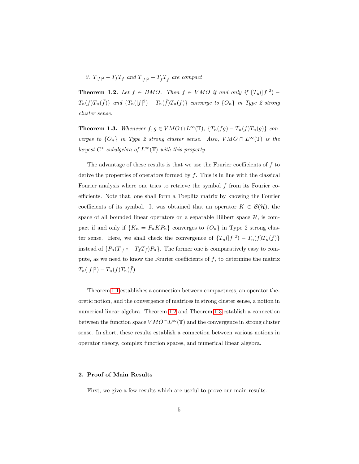2.  $T_{|f|^2} - T_f T_{\bar{f}}$  and  $T_{|\tilde{f}|^2} - T_{\tilde{f}} T_{\tilde{f}}$  are compact

<span id="page-4-0"></span>**Theorem 1.2.** *Let*  $f \in BMO$ *. Then*  $f \in VMO$  *if and only if*  $\{T_n(|f|^2) - T_n\}$  $T_n(f)T_n(\bar{f})\}$  and  $\{T_n(|f|^2) - T_n(\bar{f})T_n(f)\}$  converge to  $\{O_n\}$  in Type 2 strong *cluster sense.*

<span id="page-4-1"></span>**Theorem 1.3.** *Whenever*  $f, g \in VMO \cap L^{\infty}(\mathbb{T})$ ,  $\{T_n(fg) - T_n(f)T_n(g)\}\$  *converges to*  $\{O_n\}$  *in Type 2 strong cluster sense. Also,*  $VMO \cap L^{\infty}(\mathbb{T})$  *is the largest*  $C^*$ -subalgebra of  $L^\infty(\mathbb{T})$  with this property.

The advantage of these results is that we use the Fourier coefficients of  $f$  to derive the properties of operators formed by  $f$ . This is in line with the classical Fourier analysis where one tries to retrieve the symbol  $f$  from its Fourier coefficients. Note that, one shall form a Toeplitz matrix by knowing the Fourier coefficients of its symbol. It was obtained that an operator  $K \in \mathcal{B}(\mathcal{H})$ , the space of all bounded linear operators on a separable Hilbert space  $H$ , is compact if and only if  $\{K_n = P_n K P_n\}$  converges to  $\{O_n\}$  in Type 2 strong cluster sense. Here, we shall check the convergence of  $\{T_n(|f|^2) - T_n(f)T_n(\bar{f})\}$ instead of  $\{P_n(T_{|f|^2} - T_f T_{\bar{f}})P_n\}$ . The former one is comparatively easy to compute, as we need to know the Fourier coefficients of  $f$ , to determine the matrix  $T_n(|f|^2) - T_n(f)T_n(\bar{f}).$ 

Theorem [1.1](#page-3-0) establishes a connection between compactness, an operator theoretic notion, and the convergence of matrices in strong cluster sense, a notion in numerical linear algebra. Theorem [1.2](#page-4-0) and Theorem [1.3](#page-4-1) establish a connection between the function space  $VMO \cap L^{\infty}(\mathbb{T})$  and the convergence in strong cluster sense. In short, these results establish a connection between various notions in operator theory, complex function spaces, and numerical linear algebra.

# 2. Proof of Main Results

First, we give a few results which are useful to prove our main results.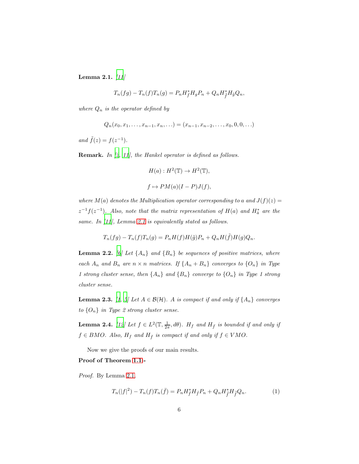<span id="page-5-0"></span>Lemma 2.1. *[\[11](#page-11-5)]*

$$
T_n(fg) - T_n(f)T_n(g) = P_n H_f^* H_g P_n + Q_n H_{\tilde{f}}^* H_{\tilde{g}} Q_n,
$$

*where*  $Q_n$  *is the operator defined by* 

$$
Q_n(x_0, x_1, \ldots, x_{n-1}, x_n, \ldots) = (x_{n-1}, x_{n-2}, \ldots, x_0, 0, 0, \ldots)
$$

*and*  $\tilde{f}(z) = f(z^{-1})$ *.* 

Remark. *In [\[2,](#page-10-0) [11](#page-11-5)], the Hankel operator is defined as follows.*

$$
H(a): H^{2}(\mathbb{T}) \to H^{2}(\mathbb{T}),
$$
  

$$
f \mapsto PM(a)(I - P)J(f),
$$

*where*  $M(a)$  *denotes the Multiplication operator corresponding to* a and  $J(f)(z) =$  $z^{-1}f(z^{-1})$ . Also, note that the matrix representation of  $H(a)$  and  $H^*_{\bar{a}}$  are the *same. In [\[11](#page-11-5)], Lemma [2.1](#page-5-0) is equivalently stated as follows.*

$$
T_n(fg) - T_n(f)T_n(g) = P_nH(f)H(\tilde{g})P_n + Q_nH(\tilde{f})H(g)Q_n.
$$

<span id="page-5-1"></span>**Lemma 2.2.** *[\[6\]](#page-11-2)* Let  $\{A_n\}$  and  $\{B_n\}$  be sequences of positive matrices, where *each*  $A_n$  *and*  $B_n$  *are*  $n \times n$  *matrices.* If  $\{A_n + B_n\}$  *converges to*  $\{O_n\}$  *in Type 1 strong cluster sense, then*  $\{A_n\}$  *and*  $\{B_n\}$  *converge to*  $\{O_n\}$  *in Type 1 strong cluster sense.*

<span id="page-5-2"></span>**Lemma 2.3.** *[\[1](#page-10-1), [5\]](#page-11-6)* Let  $A \in \mathcal{B}(\mathcal{H})$ *. A is compact if and only if*  $\{A_n\}$  *converges to* {On} *in Type 2 strong cluster sense.*

**Lemma 2.4.** [\[12\]](#page-11-1) Let  $f \in L^2(\mathbb{T}, \frac{1}{2\pi}, d\theta)$ . H<sub>f</sub> and H<sub>f</sub> is bounded if and only if  $f \in BMO$ *. Also,*  $H_f$  and  $H_{\bar{f}}$  *is compact if and only if*  $f \in VMO$ *.* 

Now we give the proofs of our main results.

# Proof of Theorem [1.1:](#page-3-0)-

*Proof.* By Lemma [2.1,](#page-5-0)

<span id="page-5-3"></span>
$$
T_n(|f|^2) - T_n(f)T_n(\bar{f}) = P_n H_f^* H_{\bar{f}} P_n + Q_n H_{\bar{f}}^* H_{\bar{f}} Q_n.
$$
 (1)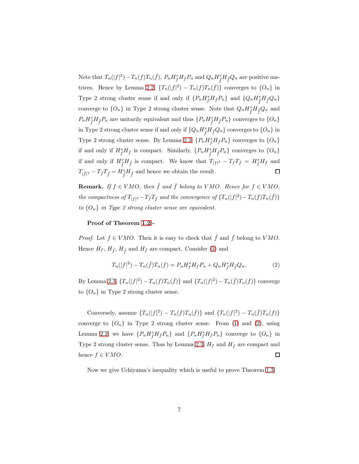Note that  $T_n(|f|^2) - T_n(f)T_n(\bar{f}), P_n H_{\bar{f}}^* H_{\bar{f}} P_n$  and  $Q_n H_{\bar{f}}^* H_{\bar{f}} Q_n$  are positive ma-trices. Hence by Lemma [2.2,](#page-5-1)  $\{T_n(|f|^2) - T_n(f)T_n(\bar{f})\}$  converges to  $\{O_n\}$  in Type 2 strong cluster sense if and only if  $\{P_n H_f^* H_f P_n\}$  and  $\{Q_n H_{\tilde{f}}^* H_{\tilde{f}} Q_n\}$ converge to  $\{O_n\}$  in Type 2 strong cluster sense. Note that  $Q_n H_{\tilde{f}}^* H_{\tilde{f}} Q_n$  and  $P_n H_{\tilde{f}}^* H_{\tilde{f}} P_n$  are unitarily equivalent and thus  $\{P_n H_{\tilde{f}}^* H_{\tilde{f}} P_n\}$  converges to  $\{O_n\}$ in Type 2 strong cluster sense if and only if  $\{Q_n H_{\tilde{f}}^* H_{\tilde{f}} Q_n\}$  converges to  $\{O_n\}$  in Type 2 strong cluster sense. By Lemma [2.3,](#page-5-2)  $\{P_n H_{\bar{f}}^* H_{\bar{f}} P_n\}$  converges to  $\{O_n\}$ if and only if  $H_f^*H_{\bar{f}}$  is compact. Similarly,  $\{P_n H_{\tilde{f}}^*H_{\tilde{f}}P_n\}$  converges to  $\{O_n\}$ if and only if  $H_{\tilde{f}}^* H_{\tilde{f}}$  is compact. We know that  $T_{|f|^2} - T_f T_{\tilde{f}} = H_{\tilde{f}}^* H_{\tilde{f}}$  and  $T_{|\tilde{f}|^2} - T_{\tilde{f}} T_{\tilde{f}} = H_{\tilde{f}}^* H_{\tilde{f}}$  and hence we obtain the result.  $\Box$ 

**Remark.** *If*  $f \in VMO$ , then  $\tilde{f}$  and  $\bar{f}$  belong to VMO. Hence for  $f \in VMO$ , *the compactness of*  $T_{|f|^2} - T_fT_{\bar{f}}$  *and the convergence of*  $\{T_n(|f|^2) - T_n(f)T_n(\bar{f})\}$ *to* {On} *in Type 2 strong cluster sense are equivalent.*

## Proof of Theorem [1.2:](#page-4-0)-

*Proof.* Let  $f \in VMO$ . Then it is easy to check that  $\tilde{f}$  and  $\bar{f}$  belong to VMO. Hence  $H_f$ ,  $H_{\tilde{f}}$ ,  $H_{\tilde{f}}$  and  $H_{\bar{f}}$  are compact. Consider [\(1\)](#page-5-3) and

<span id="page-6-0"></span>
$$
T_n(|f|^2) - T_n(\bar{f})T_n(f) = P_n H_f^* H_f P_n + Q_n H_{\tilde{f}}^* H_{\tilde{f}} Q_n.
$$
 (2)

By Lemma [2.3,](#page-5-2)  ${T_n(|f|^2) - T_n(f)T_n(\bar{f})}$  and  ${T_n(|f|^2) - T_n(\bar{f})T_n(f)}$  converge to  $\{O_n\}$  in Type 2 strong cluster sense.

Conversely, assume  $\{T_n(|f|^2) - T_n(f)T_n(\bar{f})\}$  and  $\{T_n(|f|^2) - T_n(\bar{f})T_n(f)\}$ converge to  $\{O_n\}$  in Type 2 strong cluster sense. From [\(1\)](#page-5-3) and [\(2\)](#page-6-0), using Lemma [2.2,](#page-5-1) we have  $\{P_n H_{\bar{f}}^* H_{\bar{f}} P_n\}$  and  $\{P_n H_{\bar{f}}^* H_{f} P_n\}$  converge to  $\{O_n\}$  in Type 2 strong cluster sense. Thus by Lemma [2.3,](#page-5-2)  $H_f$  and  $H_{\bar{f}}$  are compact and hence  $f \in VMO$ .  $\Box$ 

Now we give Uchiyama's inequality which is useful to prove Theorem [1.3.](#page-4-1)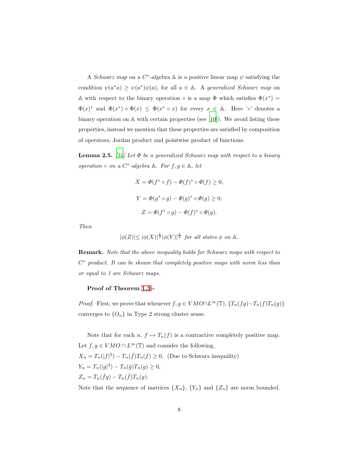A *Schwarz map* on a  $C^*$ -algebra A is a positive linear map  $\psi$  satisfying the condition  $\psi(a^*a) \geq \psi(a^*)\psi(a)$ , for all  $a \in \mathbb{A}$ . A *generalized Schwarz map* on A with respect to the binary operation  $\circ$  is a map  $\Phi$  which satisfies  $\Phi(x^*) =$  $\Phi(x)^*$  and  $\Phi(x^*) \circ \Phi(x) \leq \Phi(x^* \circ x)$  for every  $x \in \mathbb{A}$ . Here ' $\circ$ ' denotes a binary operation on A with certain properties (see [\[10\]](#page-11-7)). We avoid listing these properties, instead we mention that these properties are satisfied by composition of operators, Jordan product and pointwise product of functions.

<span id="page-7-0"></span>**Lemma 2.5.** *[\[10](#page-11-7)] Let*  $\Phi$  *be a generalized Schwarz map with respect to a binary operation*  $\circ$  *on a*  $C^*$ -algebra  $\mathbb{A}$ *. For*  $f, g \in \mathbb{A}$ *, let* 

$$
X = \Phi(f^* \circ f) - \Phi(f)^* \circ \Phi(f) \ge 0,
$$
  
\n
$$
Y = \Phi(g^* \circ g) - \Phi(g)^* \circ \Phi(g) \ge 0,
$$
  
\n
$$
Z = \Phi(f^* \circ g) - \Phi(f)^* \circ \Phi(g).
$$

*Then*

$$
|\phi(Z)| \le |\phi(X)|^{\frac{1}{2}} |\phi(Y)|^{\frac{1}{2}} \text{ for all states } \phi \text{ on } \mathbb{A}.
$$

Remark. *Note that the above inequality holds for Schwarz maps with respect to* C <sup>∗</sup> *product. It can be shown that completely positive maps with norm less than or equal to 1 are Schwarz maps.*

### Proof of Theorem [1.3:](#page-4-1)-

*Proof.* First, we prove that whenever  $f, g \in VMO \cap L^{\infty}(\mathbb{T})$ ,  $\{T_n(fg) - T_n(f)T_n(g)\}$ converges to  $\{O_n\}$  in Type 2 strong cluster sense.

Note that for each  $n, f \mapsto T_n(f)$  is a contractive completely positive map. Let  $f, g \in VMO \cap L^{\infty}(\mathbb{T})$  and consider the following,  $X_n = T_n(|f|^2) - T_n(\bar{f})T_n(f) \ge 0$ , (Due to Schwarz inequality)  $Y_n = T_n(|g|^2) - T_n(\bar{g})T_n(g) \ge 0,$  $Z_n = T_n(\bar{f}g) - T_n(\bar{f})T_n(g).$ 

Note that the sequence of matrices  $\{X_n\}$ ,  $\{Y_n\}$  and  $\{Z_n\}$  are norm bounded.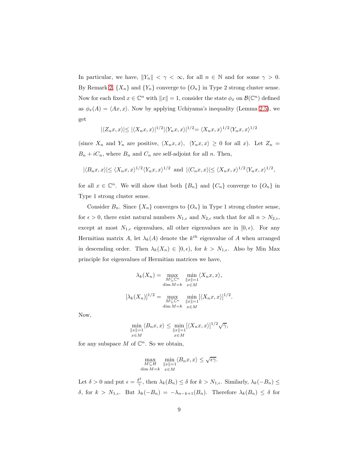In particular, we have,  $||Y_n|| < \gamma < \infty$ , for all  $n \in \mathbb{N}$  and for some  $\gamma > 0$ . By Remark [2,](#page-5-3)  $\{X_n\}$  and  $\{Y_n\}$  converge to  $\{O_n\}$  in Type 2 strong cluster sense. Now for each fixed  $x \in \mathbb{C}^n$  with  $||x|| = 1$ , consider the state  $\phi_x$  on  $\mathcal{B}(\mathbb{C}^n)$  defined as  $\phi_x(A) = \langle Ax, x \rangle$ . Now by applying Uchiyama's inequality (Lemma [2.5\)](#page-7-0), we get

$$
|\langle Z_n x, x \rangle| \le |\langle X_n x, x \rangle|^{1/2} |\langle Y_n x, x \rangle|^{1/2} = \langle X_n x, x \rangle^{1/2} \langle Y_n x, x \rangle^{1/2}
$$

(since  $X_n$  and  $Y_n$  are positive,  $\langle X_n x, x \rangle$ ,  $\langle Y_n x, x \rangle \geq 0$  for all x). Let  $Z_n =$  $B_n + iC_n$ , where  $B_n$  and  $C_n$  are self-adjoint for all n. Then,

$$
|\langle B_nx, x \rangle| \le \langle X_nx, x \rangle^{1/2} \langle Y_nx, x \rangle^{1/2}
$$
 and  $|\langle C_nx, x \rangle| \le \langle X_nx, x \rangle^{1/2} \langle Y_nx, x \rangle^{1/2}$ ,

for all  $x \in \mathbb{C}^n$ . We will show that both  $\{B_n\}$  and  $\{C_n\}$  converge to  $\{O_n\}$  in Type 1 strong cluster sense.

Consider  $B_n$ . Since  $\{X_n\}$  converges to  $\{O_n\}$  in Type 1 strong cluster sense, for  $\epsilon > 0$ , there exist natural numbers  $N_{1,\epsilon}$  and  $N_{2,\epsilon}$  such that for all  $n > N_{2,\epsilon}$ , except at most  $N_{1,\epsilon}$  eigenvalues, all other eigenvalues are in  $[0,\epsilon)$ . For any Hermitian matrix A, let  $\lambda_k(A)$  denote the  $k^{th}$  eigenvalue of A when arranged in descending order. Then  $\lambda_k(X_n) \in [0, \epsilon)$ , for  $k > N_{1,\epsilon}$ . Also by Min Max principle for eigenvalues of Hermitian matrices we have,

$$
\lambda_k(X_n) = \max_{\substack{M \subseteq \mathbb{C}^n \\ \dim M = k}} \min_{\substack{\|x\| = 1 \\ x \in M}} \langle X_n x, x \rangle,
$$

$$
[\lambda_k(X_n)]^{1/2} = \max_{\substack{M \subseteq \mathbb{C}^n \\ \dim M = k}} \min_{\substack{\|x\| = 1 \\ x \in M}} [\langle X_n x, x \rangle]^{1/2}.
$$

Now,

$$
\min_{\substack{\|x\|=1\\x\in M}} \langle B_n x, x \rangle \le \min_{\substack{\|x\|=1\\x\in M}} [\langle X_n x, x \rangle]^{1/2} \sqrt{\gamma},
$$

for any subspace  $M$  of  $\mathbb{C}^n$ . So we obtain,

$$
\max_{\substack{M\subseteq H\\ \dim M=k}}\ \min_{\substack{\|x\|=1\\ x\in M}}\langle B_nx,x\rangle\leq \sqrt{\epsilon\gamma}.
$$

Let  $\delta > 0$  and put  $\epsilon = \frac{\delta^2}{\gamma}$  $\frac{\partial^2}{\partial \gamma}$ , then  $\lambda_k(B_n) \leq \delta$  for  $k > N_{1,\epsilon}$ . Similarly,  $\lambda_k(-B_n) \leq$ δ, for  $k > N_{1,ε}$ . But  $\lambda_k(-B_n) = -\lambda_{n-k+1}(B_n)$ . Therefore  $\lambda_k(B_n) ≤ δ$  for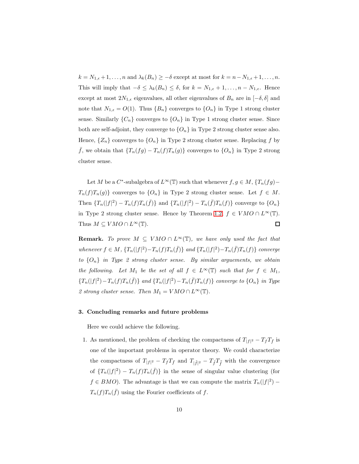$k = N_{1,\epsilon} + 1, \ldots, n$  and  $\lambda_k(B_n) \geq -\delta$  except at most for  $k = n - N_{1,\epsilon} + 1, \ldots, n$ . This will imply that  $-\delta \leq \lambda_k(B_n) \leq \delta$ , for  $k = N_{1,\epsilon} + 1, \ldots, n - N_{1,\epsilon}$ . Hence except at most  $2N_{1,\epsilon}$  eigenvalues, all other eigenvalues of  $B_n$  are in  $[-\delta, \delta]$  and note that  $N_{1,\epsilon} = O(1)$ . Thus  $\{B_n\}$  converges to  $\{O_n\}$  in Type 1 strong cluster sense. Similarly  $\{C_n\}$  converges to  $\{O_n\}$  in Type 1 strong cluster sense. Since both are self-adjoint, they converge to  $\{O_n\}$  in Type 2 strong cluster sense also. Hence,  $\{Z_n\}$  converges to  $\{O_n\}$  in Type 2 strong cluster sense. Replacing f by  $\bar{f}$ , we obtain that  $\{T_n(fg) - T_n(f)T_n(g)\}$  converges to  $\{O_n\}$  in Type 2 strong cluster sense.

Let M be a  $C^*$ -subalgebra of  $L^{\infty}(\mathbb{T})$  such that whenever  $f, g \in M$ ,  $\{T_n(fg) T_n(f)T_n(g)$  converges to  $\{O_n\}$  in Type 2 strong cluster sense. Let  $f \in M$ . Then  ${T_n(|f|^2) - T_n(f)T_n(\bar{f})}$  and  ${T_n(|f|^2) - T_n(\bar{f})T_n(f)}$  converge to  ${O_n}$ in Type 2 strong cluster sense. Hence by Theorem [1.2,](#page-4-0)  $f \in VMO \cap L^{\infty}(\mathbb{T})$ . Thus  $M \subseteq VMO \cap L^{\infty}(\mathbb{T})$ . 口

**Remark.** To prove  $M \subseteq VMO \cap L^{\infty}(\mathbb{T})$ , we have only used the fact that *whenever*  $f \in M$ ,  ${T_n(|f|^2) - T_n(f)T_n(\bar{f})}$  *and*  ${T_n(|f|^2) - T_n(\bar{f})T_n(f)}$  *converge to* {On} *in Type 2 strong cluster sense. By similar arguements, we obtain the following.* Let  $M_1$  *be the set of all*  $f \in L^{\infty}(\mathbb{T})$  *such that for*  $f \in M_1$ *,*  ${T_n(|f|^2) - T_n(f)T_n(\bar{f})}$  *and*  ${T_n(|f|^2) - T_n(\bar{f})T_n(f)}$  *converge to*  ${O_n}$  *in Type* 2 strong cluster sense. Then  $M_1 = VMO \cap L^{\infty}(\mathbb{T})$ .

### 3. Concluding remarks and future problems

Here we could achieve the following.

1. As mentioned, the problem of checking the compactness of  $T_{|f|^2} - T_f T_{\bar{f}}$  is one of the important problems in operator theory. We could characterize the compactness of  $T_{|f|^2} - T_f T_{\bar{f}}$  and  $T_{|\tilde{f}|^2} - T_{\tilde{f}} T_{\bar{f}}$  with the convergence of  ${T_n(|f|^2) - T_n(f)T_n(\bar{f})}$  in the sense of singular value clustering (for  $f \in BMO$ ). The advantage is that we can compute the matrix  $T_n(|f|^2)$  –  $T_n(f)T_n(\bar{f})$  using the Fourier coefficients of f.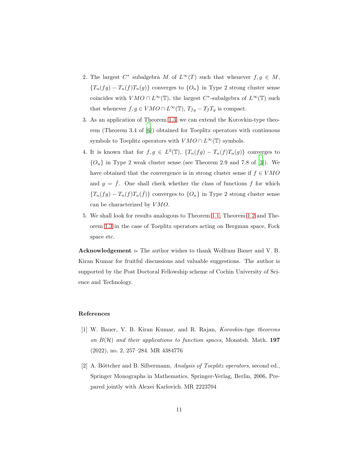- 2. The largest  $C^*$  subalgebra M of  $L^{\infty}(T)$  such that whenever  $f, g \in M$ ,  ${T_n(fg) - T_n(f)T_n(g)}$  converges to  ${O_n}$  in Type 2 strong cluster sense coincides with  $VMO \cap L^{\infty}(\mathbb{T})$ , the largest  $C^*$ -subalgebra of  $L^{\infty}(\mathbb{T})$  such that whenever  $f, g \in VMO \cap L^{\infty}(\mathbb{T})$ ,  $T_{fg} - T_fT_g$  is compact.
- 3. As an application of Theorem [1.3,](#page-4-1) we can extend the Korovkin-type theorem (Theorem 3.4 of [\[6\]](#page-11-2)) obtained for Toeplitz operators with continuous symbols to Toeplitz operators with  $VMO \cap L^{\infty}(\mathbb{T})$  symbols.
- 4. It is known that for  $f, g \in L^2(\mathbb{T})$ ,  $\{T_n(fg) T_n(f)T_n(g)\}\)$  converges to  ${O_n}$  in Type 2 weak cluster sense (see Theorem 2.9 and 7.8 of [\[3](#page-11-8)]). We have obtained that the convergence is in strong cluster sense if  $f \in VMO$ and  $g = \bar{f}$ . One shall check whether the class of functions f for which  ${T_n(fg) - T_n(f)T_n(\bar{f})}$  converges to  ${O_n}$  in Type 2 strong cluster sense can be characterized by  $VMO$ .
- 5. We shall look for results analogous to Theorem [1.1,](#page-3-0) Theorem [1.2](#page-4-0) and Theorem [1.3](#page-4-1) in the case of Toeplitz operators acting on Bergman space, Fock space etc.

Acknowledgement :- The author wishes to thank Wolfram Bauer and V. B. Kiran Kumar for fruitful discussions and valuable suggestions. The author is supported by the Post Doctoral Fellowship scheme of Cochin University of Science and Technology.

#### References

- <span id="page-10-1"></span>[1] W. Bauer, V. B. Kiran Kumar, and R. Rajan, *Korovkin-type theorems on* B(H) *and their applications to function spaces*, Monatsh. Math. 197 (2022), no. 2, 257–284. MR 4384776
- <span id="page-10-0"></span>[2] A. Böttcher and B. Silbermann, *Analysis of Toeplitz operators*, second ed., Springer Monographs in Mathematics, Springer-Verlag, Berlin, 2006, Prepared jointly with Alexei Karlovich. MR 2223704